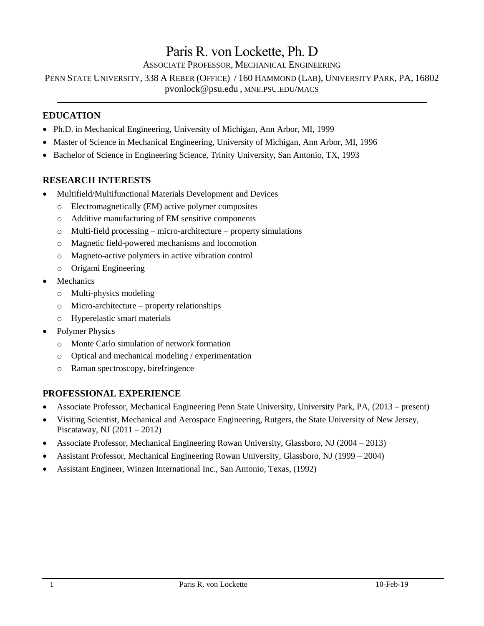# Paris R. von Lockette, Ph. D

ASSOCIATE PROFESSOR, MECHANICAL ENGINEERING

PENN STATE UNIVERSITY, 338 A REBER (OFFICE) / 160 HAMMOND (LAB), UNIVERSITY PARK, PA, 16802 [pvonlock@psu.edu](mailto:pvonlock@psu.edu) , MNE.PSU.EDU/MACS

## **EDUCATION**

- Ph.D. in Mechanical Engineering, University of Michigan, Ann Arbor, MI, 1999
- Master of Science in Mechanical Engineering, University of Michigan, Ann Arbor, MI, 1996
- Bachelor of Science in Engineering Science, Trinity University, San Antonio, TX, 1993

### **RESEARCH INTERESTS**

- Multifield/Multifunctional Materials Development and Devices
	- o Electromagnetically (EM) active polymer composites
	- o Additive manufacturing of EM sensitive components
	- o Multi-field processing micro-architecture property simulations
	- o Magnetic field-powered mechanisms and locomotion
	- o Magneto-active polymers in active vibration control
	- o Origami Engineering
- **Mechanics** 
	- o Multi-physics modeling
	- o Micro-architecture property relationships
	- o Hyperelastic smart materials
- Polymer Physics
	- o Monte Carlo simulation of network formation
	- o Optical and mechanical modeling / experimentation
	- o Raman spectroscopy, birefringence

### **PROFESSIONAL EXPERIENCE**

- Associate Professor, Mechanical Engineering Penn State University, University Park, PA, (2013 present)
- Visiting Scientist, Mechanical and Aerospace Engineering, Rutgers, the State University of New Jersey, Piscataway, NJ (2011 – 2012)
- Associate Professor, Mechanical Engineering Rowan University, Glassboro, NJ (2004 2013)
- Assistant Professor, Mechanical Engineering Rowan University, Glassboro, NJ (1999 2004)
- Assistant Engineer, Winzen International Inc., San Antonio, Texas, (1992)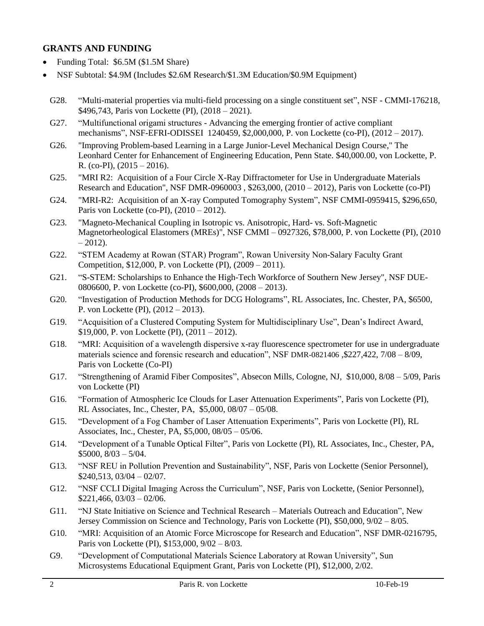### **GRANTS AND FUNDING**

- Funding Total: \$6.5M (\$1.5M Share)
- NSF Subtotal: \$4.9M (Includes \$2.6M Research/\$1.3M Education/\$0.9M Equipment)
- G28. "Multi-material properties via multi-field processing on a single constituent set", NSF CMMI-176218, \$496,743, Paris von Lockette (PI), (2018 – 2021).
- G27. "Multifunctional origami structures Advancing the emerging frontier of active compliant mechanisms", NSF-EFRI-ODISSEI 1240459, \$2,000,000, P. von Lockette (co-PI), (2012 – 2017).
- G26. "Improving Problem-based Learning in a Large Junior-Level Mechanical Design Course," The Leonhard Center for Enhancement of Engineering Education, Penn State. \$40,000.00, von Lockette, P. R. (co-PI),  $(2015 - 2016)$ .
- G25. "MRI R2: Acquisition of a Four Circle X-Ray Diffractometer for Use in Undergraduate Materials Research and Education", NSF DMR-0960003 , \$263,000, (2010 – 2012), Paris von Lockette (co-PI)
- G24. "MRI-R2: Acquisition of an X-ray Computed Tomography System", NSF CMMI-0959415, \$296,650, Paris von Lockette (co-PI), (2010 – 2012).
- G23. "Magneto-Mechanical Coupling in Isotropic vs. Anisotropic, Hard- vs. Soft-Magnetic Magnetorheological Elastomers (MREs)", NSF CMMI – 0927326, \$78,000, P. von Lockette (PI), (2010  $-2012$ ).
- G22. "STEM Academy at Rowan (STAR) Program", Rowan University Non-Salary Faculty Grant Competition, \$12,000, P. von Lockette (PI), (2009 – 2011).
- G21. "S-STEM: Scholarships to Enhance the High-Tech Workforce of Southern New Jersey", NSF DUE-0806600, P. von Lockette (co-PI), \$600,000, (2008 – 2013).
- G20. "Investigation of Production Methods for DCG Holograms", RL Associates, Inc. Chester, PA, \$6500, P. von Lockette (PI), (2012 – 2013).
- G19. "Acquisition of a Clustered Computing System for Multidisciplinary Use", Dean's Indirect Award, \$19,000, P. von Lockette (PI), (2011 – 2012).
- G18. "MRI: Acquisition of a wavelength dispersive x-ray fluorescence spectrometer for use in undergraduate materials science and forensic research and education", NSF DMR-0821406 ,\$227,422, 7/08 – 8/09, Paris von Lockette (Co-PI)
- G17. "Strengthening of Aramid Fiber Composites", Absecon Mills, Cologne, NJ, \$10,000, 8/08 5/09, Paris von Lockette (PI)
- G16. "Formation of Atmospheric Ice Clouds for Laser Attenuation Experiments", Paris von Lockette (PI), RL Associates, Inc., Chester, PA, \$5,000, 08/07 – 05/08.
- G15. "Development of a Fog Chamber of Laser Attenuation Experiments", Paris von Lockette (PI), RL Associates, Inc., Chester, PA, \$5,000, 08/05 – 05/06.
- G14. "Development of a Tunable Optical Filter", Paris von Lockette (PI), RL Associates, Inc., Chester, PA, \$5000, 8/03 – 5/04.
- G13. "NSF REU in Pollution Prevention and Sustainability", NSF, Paris von Lockette (Senior Personnel),  $$240,513, 03/04 - 02/07.$
- G12. "NSF CCLI Digital Imaging Across the Curriculum", NSF, Paris von Lockette, (Senior Personnel),  $$221,466,03/03-02/06.$
- G11. "NJ State Initiative on Science and Technical Research Materials Outreach and Education", New Jersey Commission on Science and Technology, Paris von Lockette (PI), \$50,000, 9/02 – 8/05.
- G10. "MRI: Acquisition of an Atomic Force Microscope for Research and Education", NSF DMR-0216795, Paris von Lockette (PI), \$153,000, 9/02 – 8/03.
- G9. "Development of Computational Materials Science Laboratory at Rowan University", Sun Microsystems Educational Equipment Grant, Paris von Lockette (PI), \$12,000, 2/02.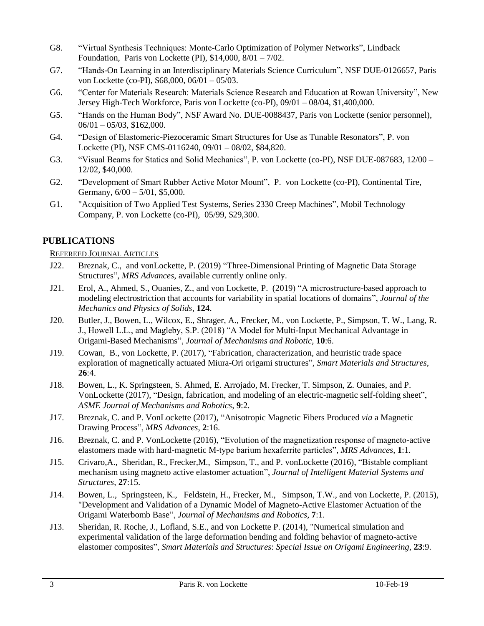- G8. "Virtual Synthesis Techniques: Monte-Carlo Optimization of Polymer Networks", Lindback Foundation, Paris von Lockette (PI), \$14,000, 8/01 – 7/02.
- G7. "Hands-On Learning in an Interdisciplinary Materials Science Curriculum", NSF DUE-0126657, Paris von Lockette (co-PI), \$68,000, 06/01 – 05/03.
- G6. "Center for Materials Research: Materials Science Research and Education at Rowan University", New Jersey High-Tech Workforce, Paris von Lockette (co-PI), 09/01 – 08/04, \$1,400,000.
- G5. "Hands on the Human Body", NSF Award No. DUE-0088437, Paris von Lockette (senior personnel),  $06/01 - 05/03$ , \$162,000.
- G4. "Design of Elastomeric-Piezoceramic Smart Structures for Use as Tunable Resonators", P. von Lockette (PI), NSF CMS-0116240, 09/01 – 08/02, \$84,820.
- G3. "Visual Beams for Statics and Solid Mechanics", P. von Lockette (co-PI), NSF DUE-087683, 12/00 12/02, \$40,000.
- G2. "Development of Smart Rubber Active Motor Mount", P. von Lockette (co-PI), Continental Tire, Germany, 6/00 – 5/01, \$5,000.
- G1. "Acquisition of Two Applied Test Systems, Series 2330 Creep Machines", Mobil Technology Company, P. von Lockette (co-PI), 05/99, \$29,300.

# **PUBLICATIONS**

### REFEREED JOURNAL ARTICLES

- J22. Breznak, C., and vonLockette, P. (2019) "Three-Dimensional Printing of Magnetic Data Storage Structures", *MRS Advances*, available currently online only.
- J21. Erol, A., Ahmed, S., Ouanies, Z., and von Lockette, P. (2019) "A microstructure-based approach to modeling electrostriction that accounts for variability in spatial locations of domains", *Journal of the Mechanics and Physics of Solids*, **124**.
- J20. Butler, J., Bowen, L., Wilcox, E., Shrager, A., Frecker, M., von Lockette, P., Simpson, T. W., Lang, R. J., Howell L.L., and Magleby, S.P. (2018) "A Model for Multi-Input Mechanical Advantage in Origami-Based Mechanisms", *Journal of Mechanisms and Robotic,* **10**:6.
- J19. Cowan, B., von Lockette, P. (2017), "Fabrication, characterization, and heuristic trade space exploration of magnetically actuated Miura-Ori origami structures", *Smart Materials and Structures*, **26**:4.
- J18. Bowen, L., K. Springsteen, S. Ahmed, E. Arrojado, M. Frecker, T. Simpson, Z. Ounaies, and P. VonLockette (2017), "Design, fabrication, and modeling of an electric-magnetic self-folding sheet", *ASME Journal of Mechanisms and Robotics*, **9**:2.
- J17. Breznak, C. and P. VonLockette (2017), "Anisotropic Magnetic Fibers Produced *via* a Magnetic Drawing Process", *MRS Advances*, **2**:16.
- J16. Breznak, C. and P. VonLockette (2016), "Evolution of the magnetization response of magneto-active elastomers made with hard-magnetic M-type barium hexaferrite particles"*, MRS Advances*, **1**:1.
- J15. Crivaro,A., Sheridan, R., Frecker,M., Simpson, T., and P. vonLockette (2016), "Bistable compliant mechanism using magneto active elastomer actuation", *Journal of Intelligent Material Systems and Structures*, **27**:15.
- J14. Bowen, L., Springsteen, K., Feldstein, H., Frecker, M., Simpson, T.W., and von Lockette, P. (2015), "Development and Validation of a Dynamic Model of Magneto-Active Elastomer Actuation of the Origami Waterbomb Base", *Journal of Mechanisms and Robotics*, **7**:1.
- J13. Sheridan, R. Roche, J., Lofland, S.E., and von Lockette P. (2014), "Numerical simulation and experimental validation of the large deformation bending and folding behavior of magneto-active elastomer composites", *Smart Materials and Structures*: *Special Issue on Origami Engineering*, **23**:9.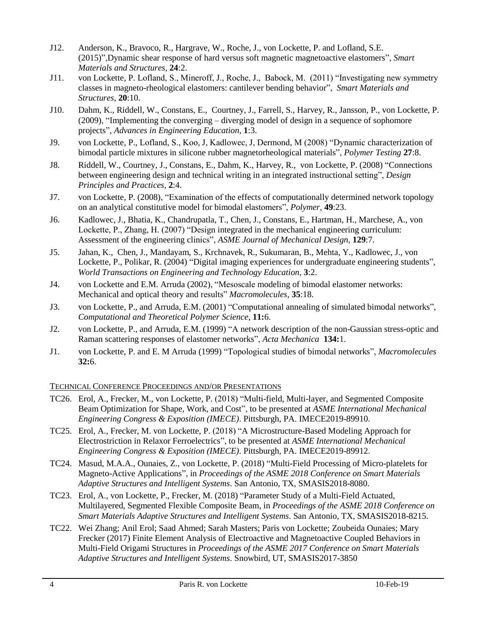- J12. Anderson, K., Bravoco, R., Hargrave, W., Roche, J., von Lockette, P. and Lofland, S.E. (2015)",Dynamic shear response of hard versus soft magnetic magnetoactive elastomers", *Smart Materials and Structures,* **24**:2.
- J11. von Lockette, P. Lofland, S., Mineroff, J., Roche, J., Babock, M. (2011) "Investigating new symmetry classes in magneto-rheological elastomers: cantilever bending behavior", *Smart Materials and Structures*, **20**:10.
- J10. Dahm, K., Riddell, W., Constans, E., Courtney, J., Farrell, S., Harvey, R., Jansson, P., von Lockette, P. (2009), "Implementing the converging – diverging model of design in a sequence of sophomore projects", *Advances in Engineering Education*, **1**:3.
- J9. von Lockette, P., Lofland, S., Koo, J, Kadlowec, J, Dermond, M (2008) "Dynamic characterization of bimodal particle mixtures in silicone rubber magnetorheological materials", *Polymer Testing* **27**:8.
- J8. Riddell, W., Courtney, J., Constans, E., Dahm, K., Harvey, R., von Lockette, P. (2008) "Connections between engineering design and technical writing in an integrated instructional setting", *Design Principles and Practices,* **2**:4.
- J7. von Lockette, P. (2008), "Examination of the effects of computationally determined network topology on an analytical constitutive model for bimodal elastomers", *Polymer,* **49**:23.
- J6. Kadlowec, J., Bhatia, K., Chandrupatla, T., Chen, J., Constans, E., Hartman, H., Marchese, A., von Lockette, P., Zhang, H. (2007) "Design integrated in the mechanical engineering curriculum: Assessment of the engineering clinics", *ASME Journal of Mechanical Design*, **129**:7.
- J5. Jahan, K., Chen, J., Mandayam, S., Krchnavek, R., Sukumaran, B., Mehta, Y., Kadlowec, J., von Lockette, P., Polikar, R. (2004) "Digital imaging experiences for undergraduate engineering students", *World Transactions on Engineering and Technology Education,* **3**:2.
- J4. von Lockette and E.M. Arruda (2002), "Mesoscale modeling of bimodal elastomer networks: Mechanical and optical theory and results" *Macromolecules,* **35**:18.
- J3. von Lockette, P., and Arruda, E.M. (2001) "Computational annealing of simulated bimodal networks", *Computational and Theoretical Polymer Science*, **11:**6.
- J2. von Lockette, P., and Arruda, E.M. (1999) "A network description of the non-Gaussian stress-optic and Raman scattering responses of elastomer networks", *Acta Mechanica* **134:**1.
- J1. von Lockette, P. and E. M Arruda (1999) "Topological studies of bimodal networks", *Macromolecules*  **32:**6.

### TECHNICAL CONFERENCE PROCEEDINGS AND/OR PRESENTATIONS

- TC26. Erol, A., Frecker, M., von Lockette, P. (2018) "Multi-field, Multi-layer, and Segmented Composite Beam Optimization for Shape, Work, and Cost", to be presented at *ASME International Mechanical Engineering Congress & Exposition (IMECE)*. Pittsburgh, PA. IMECE2019-89910.
- TC25. Erol, A., Frecker, M. von Lockette, P. (2018) "A Microstructure-Based Modeling Approach for Electrostriction in Relaxor Ferroelectrics", to be presented at *ASME International Mechanical Engineering Congress & Exposition (IMECE)*. Pittsburgh, PA. IMECE2019-89912.
- TC24. Masud, M.A.A., Ounaies, Z., von Lockette, P. (2018) "Multi-Field Processing of Micro-platelets for Magneto-Active Applications", in *Proceedings of the ASME 2018 Conference on Smart Materials Adaptive Structures and Intelligent Systems*. San Antonio, TX, SMASIS2018-8080.
- TC23. Erol, A., von Lockette, P., Frecker, M. (2018) "Parameter Study of a Multi-Field Actuated, Multilayered, Segmented Flexible Composite Beam, in *Proceedings of the ASME 2018 Conference on Smart Materials Adaptive Structures and Intelligent Systems*. San Antonio, TX, SMASIS2018-8215.
- TC22. Wei Zhang; Anil Erol; Saad Ahmed; Sarah Masters; Paris von Lockette; Zoubeida Ounaies; Mary Frecker (2017) Finite Element Analysis of Electroactive and Magnetoactive Coupled Behaviors in Multi-Field Origami Structures in *Proceedings of the ASME 2017 Conference on Smart Materials Adaptive Structures and Intelligent Systems*. Snowbird, UT, SMASIS2017-3850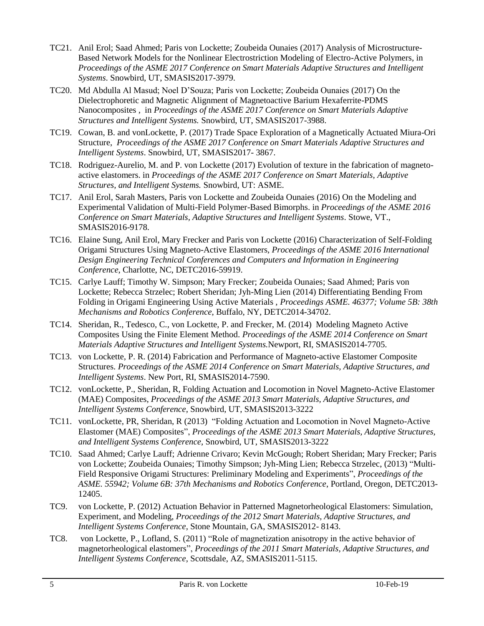- TC21. Anil Erol; Saad Ahmed; Paris von Lockette; Zoubeida Ounaies (2017) Analysis of Microstructure-Based Network Models for the Nonlinear Electrostriction Modeling of Electro-Active Polymers, in *Proceedings of the ASME 2017 Conference on Smart Materials Adaptive Structures and Intelligent Systems*. Snowbird, UT, SMASIS2017-3979.
- TC20. Md Abdulla Al Masud; Noel D'Souza; Paris von Lockette; Zoubeida Ounaies (2017) On the Dielectrophoretic and Magnetic Alignment of Magnetoactive Barium Hexaferrite-PDMS Nanocomposites , in *Proceedings of the ASME 2017 Conference on Smart Materials Adaptive Structures and Intelligent Systems.* Snowbird, UT, SMASIS2017-3988.
- TC19. Cowan, B. and vonLockette, P. (2017) Trade Space Exploration of a Magnetically Actuated Miura-Ori Structure, *Proceedings of the ASME 2017 Conference on Smart Materials Adaptive Structures and Intelligent Systems*. Snowbird, UT, SMASIS2017- 3867.
- TC18. Rodriguez-Aurelio, M. and P. von Lockette (2017) Evolution of texture in the fabrication of magnetoactive elastomers. in *Proceedings of the ASME 2017 Conference on Smart Materials, Adaptive Structures, and Intelligent Systems.* Snowbird, UT: ASME.
- TC17. Anil Erol, Sarah Masters, Paris von Lockette and Zoubeida Ounaies (2016) On the Modeling and Experimental Validation of Multi-Field Polymer-Based Bimorphs. in *Proceedings of the ASME 2016 Conference on Smart Materials, Adaptive Structures and Intelligent Systems*. Stowe, VT., SMASIS2016-9178.
- TC16. Elaine Sung, Anil Erol, Mary Frecker and Paris von Lockette (2016) Characterization of Self-Folding Origami Structures Using Magneto-Active Elastomers, *Proceedings of the ASME 2016 International Design Engineering Technical Conferences and Computers and Information in Engineering Conference*, Charlotte, NC, DETC2016-59919.
- TC15. Carlye Lauff; Timothy W. Simpson; Mary Frecker; Zoubeida Ounaies; Saad Ahmed; Paris von Lockette; Rebecca Strzelec; Robert Sheridan; Jyh-Ming Lien (2014) Differentiating Bending From Folding in Origami Engineering Using Active Materials , *Proceedings ASME. 46377; Volume 5B: 38th Mechanisms and Robotics Conference*, Buffalo, NY, DETC2014-34702.
- TC14. Sheridan, R., Tedesco, C., von Lockette, P. and Frecker, M. (2014) Modeling Magneto Active Composites Using the Finite Element Method. *Proceedings of the ASME 2014 Conference on Smart Materials Adaptive Structures and Intelligent Systems.*Newport, RI, SMASIS2014-7705.
- TC13. von Lockette, P. R. (2014) Fabrication and Performance of Magneto-active Elastomer Composite Structures. *Proceedings of the ASME 2014 Conference on Smart Materials, Adaptive Structures, and Intelligent Systems*. New Port, RI, SMASIS2014-7590.
- TC12. vonLockette, P., Sheridan, R, Folding Actuation and Locomotion in Novel Magneto-Active Elastomer (MAE) Composites, *Proceedings of the ASME 2013 Smart Materials, Adaptive Structures, and Intelligent Systems Conference*, Snowbird, UT, SMASIS2013-3222
- TC11. vonLockette, PR, Sheridan, R (2013) "Folding Actuation and Locomotion in Novel Magneto-Active Elastomer (MAE) Composites", *Proceedings of the ASME 2013 Smart Materials, Adaptive Structures, and Intelligent Systems Conference*, Snowbird, UT, SMASIS2013-3222
- TC10. Saad Ahmed; Carlye Lauff; Adrienne Crivaro; Kevin McGough; Robert Sheridan; Mary Frecker; Paris von Lockette; Zoubeida Ounaies; Timothy Simpson; Jyh-Ming Lien; Rebecca Strzelec, (2013) "Multi-Field Responsive Origami Structures: Preliminary Modeling and Experiments", *Proceedings of the ASME. 55942; Volume 6B: 37th Mechanisms and Robotics Conference*, Portland, Oregon, DETC2013- 12405.
- TC9. von Lockette, P. (2012) Actuation Behavior in Patterned Magnetorheological Elastomers: Simulation, Experiment, and Modeling, *Proceedings of the 2012 Smart Materials, Adaptive Structures, and Intelligent Systems Conference*, Stone Mountain, GA, SMASIS2012- 8143.
- TC8. von Lockette, P., Lofland, S. (2011) "Role of magnetization anisotropy in the active behavior of magnetorheological elastomers", *Proceedings of the 2011 Smart Materials, Adaptive Structures, and Intelligent Systems Conference*, Scottsdale, AZ, SMASIS2011-5115.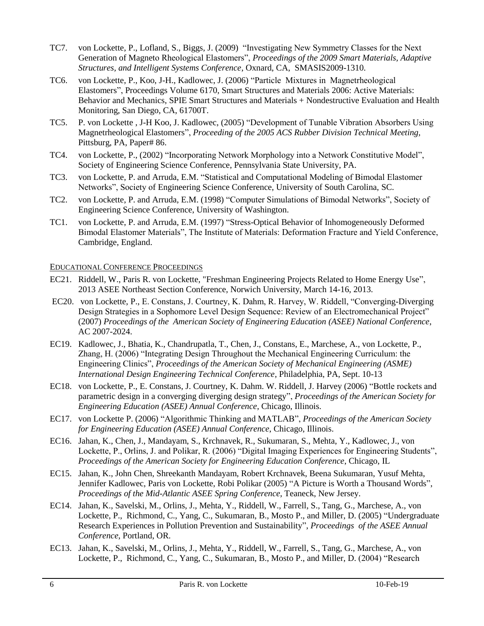- TC7. von Lockette, P., Lofland, S., Biggs, J. (2009) "Investigating New Symmetry Classes for the Next Generation of Magneto Rheological Elastomers", *Proceedings of the 2009 Smart Materials, Adaptive Structures, and Intelligent Systems Conference*, Oxnard, CA, SMASIS2009-1310.
- TC6. von Lockette, P., Koo, J-H., Kadlowec, J. (2006) "Particle Mixtures in Magnetrheological Elastomers", Proceedings Volume 6170, Smart Structures and Materials 2006: Active Materials: Behavior and Mechanics, SPIE Smart Structures and Materials + Nondestructive Evaluation and Health Monitoring, San Diego, CA, 61700T.
- TC5. P. von Lockette , J-H Koo, J. Kadlowec, (2005) "Development of Tunable Vibration Absorbers Using Magnetrheological Elastomers", *Proceeding of the 2005 ACS Rubber Division Technical Meeting,* Pittsburg, PA, Paper# 86.
- TC4. von Lockette, P., (2002) "Incorporating Network Morphology into a Network Constitutive Model", Society of Engineering Science Conference, Pennsylvania State University, PA.
- TC3. von Lockette, P. and Arruda, E.M. "Statistical and Computational Modeling of Bimodal Elastomer Networks", Society of Engineering Science Conference, University of South Carolina, SC.
- TC2. von Lockette, P. and Arruda, E.M. (1998) "Computer Simulations of Bimodal Networks", Society of Engineering Science Conference, University of Washington.
- TC1. von Lockette, P. and Arruda, E.M. (1997) "Stress-Optical Behavior of Inhomogeneously Deformed Bimodal Elastomer Materials", The Institute of Materials: Deformation Fracture and Yield Conference, Cambridge, England.

### EDUCATIONAL CONFERENCE PROCEEDINGS

- EC21. Riddell, W., Paris R. von Lockette, "Freshman Engineering Projects Related to Home Energy Use", 2013 ASEE Northeast Section Conference, Norwich University, March 14-16, 2013.
- EC20. von Lockette, P., E. Constans, J. Courtney, K. Dahm, R. Harvey, W. Riddell, "Converging-Diverging Design Strategies in a Sophomore Level Design Sequence: Review of an Electromechanical Project" (2007) *Proceedings of the American Society of Engineering Education (ASEE) National Conference*, AC 2007-2024.
- EC19. Kadlowec, J., Bhatia, K., Chandrupatla, T., Chen, J., Constans, E., Marchese, A., von Lockette, P., Zhang, H. (2006) "Integrating Design Throughout the Mechanical Engineering Curriculum: the Engineering Clinics", *Proceedings of the American Society of Mechanical Engineering (ASME) International Design Engineering Technical Conference*, Philadelphia, PA, Sept. 10-13
- EC18. von Lockette, P., E. Constans, J. Courtney, K. Dahm. W. Riddell, J. Harvey (2006) "Bottle rockets and parametric design in a converging diverging design strategy", *Proceedings of the American Society for Engineering Education (ASEE) Annual Conference*, Chicago, Illinois.
- EC17. von Lockette P. (2006) "Algorithmic Thinking and MATLAB", *Proceedings of the American Society for Engineering Education (ASEE) Annual Conference*, Chicago, Illinois.
- EC16. Jahan, K., Chen, J., Mandayam, S., Krchnavek, R., Sukumaran, S., Mehta, Y., Kadlowec, J., von Lockette, P., Orlins, J. and Polikar, R. (2006) "Digital Imaging Experiences for Engineering Students", *Proceedings of the American Society for Engineering Education Conference*, Chicago, IL
- EC15. Jahan, K., John Chen, Shreekanth Mandayam, Robert Krchnavek, Beena Sukumaran, Yusuf Mehta, Jennifer Kadlowec, Paris von Lockette, Robi Polikar (2005) "A Picture is Worth a Thousand Words", *Proceedings of the Mid-Atlantic ASEE Spring Conference*, Teaneck, New Jersey.
- EC14. Jahan, K., Savelski, M., Orlins, J., Mehta, Y., Riddell, W., Farrell, S., Tang, G., Marchese, A., von Lockette, P., Richmond, C., Yang, C., Sukumaran, B., Mosto P., and Miller, D. (2005) "Undergraduate Research Experiences in Pollution Prevention and Sustainability", *Proceedings of the ASEE Annual Conference*, Portland, OR.
- EC13. Jahan, K., Savelski, M., Orlins, J., Mehta, Y., Riddell, W., Farrell, S., Tang, G., Marchese, A., von Lockette, P., Richmond, C., Yang, C., Sukumaran, B., Mosto P., and Miller, D. (2004) "Research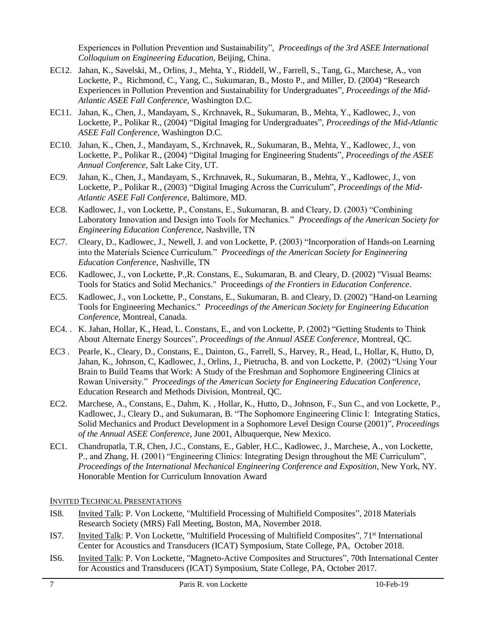Experiences in Pollution Prevention and Sustainability", *Proceedings of the 3rd ASEE International Colloquium on Engineering Education*, Beijing, China.

- EC12. Jahan, K., Savelski, M., Orlins, J., Mehta, Y., Riddell, W., Farrell, S., Tang, G., Marchese, A., von Lockette, P., Richmond, C., Yang, C., Sukumaran, B., Mosto P., and Miller, D. (2004) "Research Experiences in Pollution Prevention and Sustainability for Undergraduates", *Proceedings of the Mid-Atlantic ASEE Fall Conference*, Washington D.C.
- EC11. Jahan, K., Chen, J., Mandayam, S., Krchnavek, R., Sukumaran, B., Mehta, Y., Kadlowec, J., von Lockette, P., Polikar R., (2004) "Digital Imaging for Undergraduates", *Proceedings of the Mid-Atlantic ASEE Fall Conference*, Washington D.C.
- EC10. Jahan, K., Chen, J., Mandayam, S., Krchnavek, R., Sukumaran, B., Mehta, Y., Kadlowec, J., von Lockette, P., Polikar R., (2004) "Digital Imaging for Engineering Students", *Proceedings of the ASEE Annual Conference*, Salt Lake City, UT.
- EC9. Jahan, K., Chen, J., Mandayam, S., Krchnavek, R., Sukumaran, B., Mehta, Y., Kadlowec, J., von Lockette, P., Polikar R., (2003) "Digital Imaging Across the Curriculum", *Proceedings of the Mid-Atlantic ASEE Fall Conference*, Baltimore, MD.
- EC8. Kadlowec, J., von Lockette, P., Constans, E., Sukumaran, B. and Cleary, D. (2003) "Combining Laboratory Innovation and Design into Tools for Mechanics." *Proceedings of the American Society for Engineering Education Conference,* Nashville, TN
- EC7. Cleary, D., Kadlowec, J., Newell, J. and von Lockette, P. (2003) "Incorporation of Hands-on Learning into the Materials Science Curriculum." *Proceedings of the American Society for Engineering Education Conference,* Nashville, TN
- EC6. Kadlowec, J., von Lockette, P.,R. Constans, E., Sukumaran, B. and Cleary, D. (2002) "Visual Beams: Tools for Statics and Solid Mechanics." Proceedings *of the Frontiers in Education Conference*.
- EC5. Kadlowec, J., von Lockette, P., Constans, E., Sukumaran, B. and Cleary, D. (2002) "Hand-on Learning Tools for Engineering Mechanics." *Proceedings of the American Society for Engineering Education Conference,* Montreal, Canada.
- EC4. . K. Jahan, Hollar, K., Head, L. Constans, E., and von Lockette, P. (2002) "Getting Students to Think About Alternate Energy Sources", *Proceedings of the Annual ASEE Conference*, Montreal, QC.
- EC3 . Pearle, K., Cleary, D., Constans, E., Dainton, G., Farrell, S., Harvey, R., Head, L, Hollar, K, Hutto, D, Jahan, K., Johnson, C, Kadlowec, J., Orlins, J., Pietrucha, B. and von Lockette, P. (2002) "Using Your Brain to Build Teams that Work: A Study of the Freshman and Sophomore Engineering Clinics at Rowan University." *Proceedings of the American Society for Engineering Education Conference*, Education Research and Methods Division, Montreal, QC.
- EC2. Marchese, A., Constans, E., Dahm, K. , Hollar, K., Hutto, D., Johnson, F., Sun C., and von Lockette, P., Kadlowec, J., Cleary D., and Sukumaran, B. "The Sophomore Engineering Clinic I: Integrating Statics, Solid Mechanics and Product Development in a Sophomore Level Design Course (2001)", *Proceedings of the Annual ASEE Conference*, June 2001, Albuquerque, New Mexico.
- EC1. Chandrupatla, T.R, Chen, J.C., Constans, E., Gabler, H.C., Kadlowec, J., Marchese, A., von Lockette, P., and Zhang, H. (2001) "Engineering Clinics: Integrating Design throughout the ME Curriculum", *Proceedings of the International Mechanical Engineering Conference and Exposition*, New York, NY. Honorable Mention for Curriculum Innovation Award

INVITED TECHNICAL PRESENTATIONS

- IS8. Invited Talk: P. Von Lockette, "Multifield Processing of Multifield Composites", 2018 Materials Research Society (MRS) Fall Meeting, Boston, MA, November 2018.
- IS7. **Invited Talk: P. Von Lockette, "Multifield Processing of Multifield Composites"**, 71<sup>st</sup> International Center for Acoustics and Transducers (ICAT) Symposium, State College, PA, October 2018.
- IS6. Invited Talk: P. Von Lockette, "Magneto-Active Composites and Structures", 70th International Center for Acoustics and Transducers (ICAT) Symposium, State College, PA, October 2017.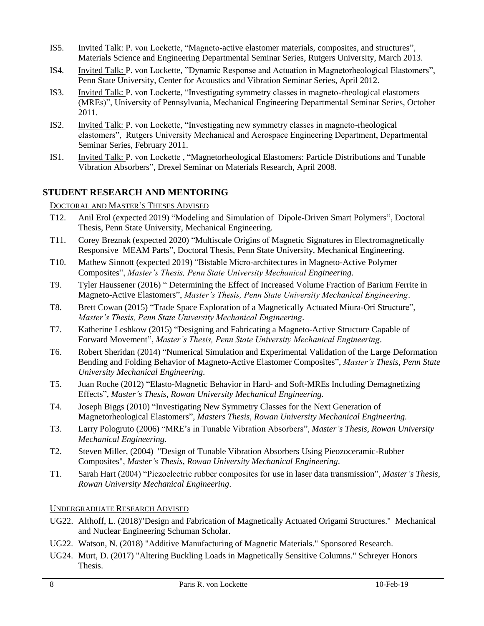- IS5. Invited Talk: P. von Lockette, "Magneto-active elastomer materials, composites, and structures", Materials Science and Engineering Departmental Seminar Series, Rutgers University, March 2013.
- IS4. Invited Talk: P. von Lockette, "Dynamic Response and Actuation in Magnetorheological Elastomers", Penn State University, Center for Acoustics and Vibration Seminar Series, April 2012.
- IS3. Invited Talk: P. von Lockette, "Investigating symmetry classes in magneto-rheological elastomers (MREs)", University of Pennsylvania, Mechanical Engineering Departmental Seminar Series, October 2011.
- IS2. Invited Talk: P. von Lockette, "Investigating new symmetry classes in magneto-rheological elastomers", Rutgers University Mechanical and Aerospace Engineering Department, Departmental Seminar Series, February 2011.
- IS1. Invited Talk: P. von Lockette , "Magnetorheological Elastomers: Particle Distributions and Tunable Vibration Absorbers", Drexel Seminar on Materials Research, April 2008.

# **STUDENT RESEARCH AND MENTORING**

### DOCTORAL AND MASTER'S THESES ADVISED

- T12. Anil Erol (expected 2019) "Modeling and Simulation of Dipole-Driven Smart Polymers", Doctoral Thesis, Penn State University, Mechanical Engineering.
- T11. Corey Breznak (expected 2020) "Multiscale Origins of Magnetic Signatures in Electromagnetically Responsive MEAM Parts", Doctoral Thesis, Penn State University, Mechanical Engineering.
- T10. Mathew Sinnott (expected 2019) "Bistable Micro-architectures in Magneto-Active Polymer Composites", *Master's Thesis, Penn State University Mechanical Engineering*.
- T9. Tyler Haussener (2016) " Determining the Effect of Increased Volume Fraction of Barium Ferrite in Magneto-Active Elastomers", *Master's Thesis, Penn State University Mechanical Engineering*.
- T8. Brett Cowan (2015) "Trade Space Exploration of a Magnetically Actuated Miura-Ori Structure", *Master's Thesis, Penn State University Mechanical Engineering*.
- T7. Katherine Leshkow (2015) "Designing and Fabricating a Magneto-Active Structure Capable of Forward Movement", *Master's Thesis, Penn State University Mechanical Engineering*.
- T6. Robert Sheridan (2014) "Numerical Simulation and Experimental Validation of the Large Deformation Bending and Folding Behavior of Magneto-Active Elastomer Composites", *Master's Thesis, Penn State University Mechanical Engineering*.
- T5. Juan Roche (2012) "Elasto-Magnetic Behavior in Hard- and Soft-MREs Including Demagnetizing Effects", *Master's Thesis, Rowan University Mechanical Engineering.*
- T4. Joseph Biggs (2010) "Investigating New Symmetry Classes for the Next Generation of Magnetorheological Elastomers", *Masters Thesis, Rowan University Mechanical Engineering.*
- T3. Larry Pologruto (2006) "MRE's in Tunable Vibration Absorbers", *Master's Thesis, Rowan University Mechanical Engineering*.
- T2. Steven Miller, (2004) "Design of Tunable Vibration Absorbers Using Pieozoceramic-Rubber Composites", *Master's Thesis*, *Rowan University Mechanical Engineering*.
- T1. Sarah Hart (2004) "Piezoelectric rubber composites for use in laser data transmission", *Master's Thesis*, *Rowan University Mechanical Engineering*.

### UNDERGRADUATE RESEARCH ADVISED

- UG22. Althoff, L. (2018)"Design and Fabrication of Magnetically Actuated Origami Structures." Mechanical and Nuclear Engineering Schuman Scholar.
- UG22. Watson, N. (2018) "Additive Manufacturing of Magnetic Materials." Sponsored Research.
- UG24. Murt, D. (2017) "Altering Buckling Loads in Magnetically Sensitive Columns." Schreyer Honors Thesis.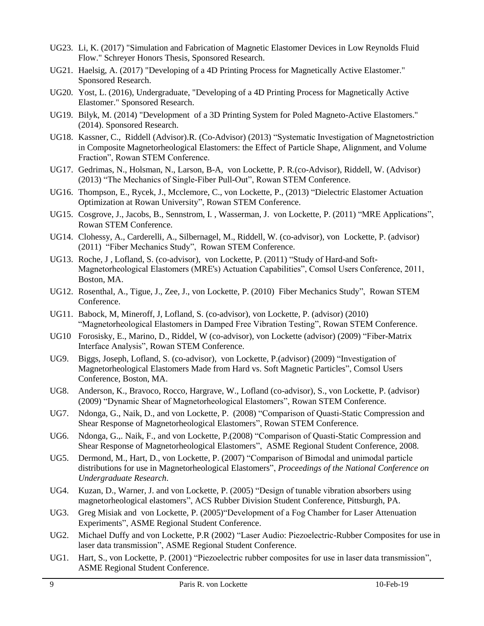- UG23. Li, K. (2017) "Simulation and Fabrication of Magnetic Elastomer Devices in Low Reynolds Fluid Flow." Schreyer Honors Thesis, Sponsored Research.
- UG21. Haelsig, A. (2017) "Developing of a 4D Printing Process for Magnetically Active Elastomer." Sponsored Research.
- UG20. Yost, L. (2016), Undergraduate, "Developing of a 4D Printing Process for Magnetically Active Elastomer." Sponsored Research.
- UG19. Bilyk, M. (2014) "Development of a 3D Printing System for Poled Magneto-Active Elastomers." (2014). Sponsored Research.
- UG18. Kassner, C., Riddell (Advisor).R. (Co-Advisor) (2013) "Systematic Investigation of Magnetostriction in Composite Magnetorheological Elastomers: the Effect of Particle Shape, Alignment, and Volume Fraction", Rowan STEM Conference.
- UG17. Gedrimas, N., Holsman, N., Larson, B-A, von Lockette, P. R.(co-Advisor), Riddell, W. (Advisor) (2013) "The Mechanics of Single-Fiber Pull-Out", Rowan STEM Conference.
- UG16. Thompson, E., Rycek, J., Mcclemore, C., von Lockette, P., (2013) "Dielectric Elastomer Actuation Optimization at Rowan University", Rowan STEM Conference.
- UG15. Cosgrove, J., Jacobs, B., Sennstrom, I. , Wasserman, J. von Lockette, P. (2011) "MRE Applications", Rowan STEM Conference.
- UG14. Clohessy, A., Carderelli, A., Silbernagel, M., Riddell, W. (co-advisor), von Lockette, P. (advisor) (2011) "Fiber Mechanics Study", Rowan STEM Conference.
- UG13. Roche, J , Lofland, S. (co-advisor), von Lockette, P. (2011) "Study of Hard-and Soft-Magnetorheological Elastomers (MRE's) Actuation Capabilities", Comsol Users Conference, 2011, Boston, MA.
- UG12. Rosenthal, A., Tigue, J., Zee, J., von Lockette, P. (2010) Fiber Mechanics Study", Rowan STEM Conference.
- UG11. Babock, M, Mineroff, J, Lofland, S. (co-advisor), von Lockette, P. (advisor) (2010) "Magnetorheological Elastomers in Damped Free Vibration Testing", Rowan STEM Conference.
- UG10 Forosisky, E., Marino, D., Riddel, W (co-advisor), von Lockette (advisor) (2009) "Fiber-Matrix Interface Analysis", Rowan STEM Conference.
- UG9. Biggs, Joseph, Lofland, S. (co-advisor), von Lockette, P.(advisor) (2009) "Investigation of Magnetorheological Elastomers Made from Hard vs. Soft Magnetic Particles", Comsol Users Conference, Boston, MA.
- UG8. Anderson, K., Bravoco, Rocco, Hargrave, W., Lofland (co-advisor), S., von Lockette, P. (advisor) (2009) "Dynamic Shear of Magnetorheological Elastomers", Rowan STEM Conference.
- UG7. Ndonga, G., Naik, D., and von Lockette, P. (2008) "Comparison of Quasti-Static Compression and Shear Response of Magnetorheological Elastomers", Rowan STEM Conference.
- UG6. Ndonga, G.,. Naik, F., and von Lockette, P.(2008) "Comparison of Quasti-Static Compression and Shear Response of Magnetorheological Elastomers", ASME Regional Student Conference, 2008.
- UG5. Dermond, M., Hart, D., von Lockette, P. (2007) "Comparison of Bimodal and unimodal particle distributions for use in Magnetorheological Elastomers", *Proceedings of the National Conference on Undergraduate Research*.
- UG4. Kuzan, D., Warner, J. and von Lockette, P. (2005) "Design of tunable vibration absorbers using magnetorheological elastomers", ACS Rubber Division Student Conference, Pittsburgh, PA.
- UG3. Greg Misiak and von Lockette, P. (2005)"Development of a Fog Chamber for Laser Attenuation Experiments", ASME Regional Student Conference.
- UG2. Michael Duffy and von Lockette, P.R (2002) "Laser Audio: Piezoelectric-Rubber Composites for use in laser data transmission", ASME Regional Student Conference.
- UG1. Hart, S., von Lockette, P. (2001) "Piezoelectric rubber composites for use in laser data transmission", ASME Regional Student Conference.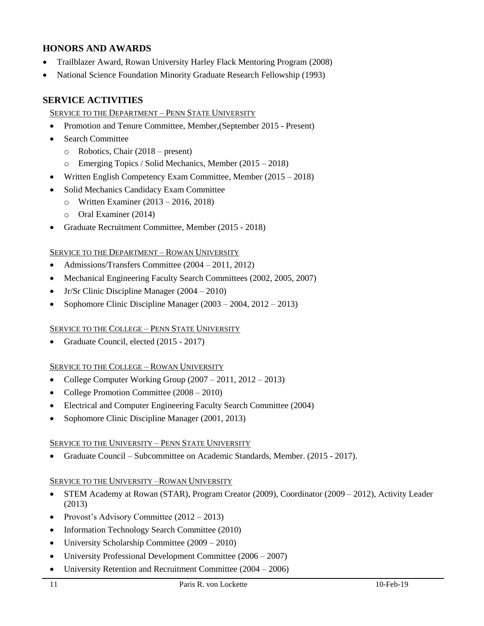### **HONORS AND AWARDS**

- Trailblazer Award, Rowan University Harley Flack Mentoring Program (2008)
- National Science Foundation Minority Graduate Research Fellowship (1993)

# **SERVICE ACTIVITIES**

#### SERVICE TO THE DEPARTMENT - PENN STATE UNIVERSITY

- Promotion and Tenure Committee, Member,(September 2015 Present)
- Search Committee
	- o Robotics, Chair (2018 present)
	- o Emerging Topics / Solid Mechanics, Member (2015 2018)
- Written English Competency Exam Committee, Member (2015 2018)
- Solid Mechanics Candidacy Exam Committee
	- o Written Examiner (2013 2016, 2018)
	- o Oral Examiner (2014)
- Graduate Recruitment Committee, Member (2015 2018)

#### SERVICE TO THE DEPARTMENT – ROWAN UNIVERSITY

- Admissions/Transfers Committee (2004 2011, 2012)
- Mechanical Engineering Faculty Search Committees (2002, 2005, 2007)
- Jr/Sr Clinic Discipline Manager (2004 2010)
- Sophomore Clinic Discipline Manager (2003 2004, 2012 2013)

### SERVICE TO THE COLLEGE – PENN STATE UNIVERSITY

• Graduate Council, elected (2015 - 2017)

### SERVICE TO THE COLLEGE – ROWAN UNIVERSITY

- College Computer Working Group  $(2007 2011, 2012 2013)$
- College Promotion Committee (2008 2010)
- Electrical and Computer Engineering Faculty Search Committee (2004)
- Sophomore Clinic Discipline Manager (2001, 2013)

### SERVICE TO THE UNIVERSITY - PENN STATE UNIVERSITY

• Graduate Council – Subcommittee on Academic Standards, Member. (2015 - 2017).

### SERVICE TO THE UNIVERSITY –ROWAN UNIVERSITY

- STEM Academy at Rowan (STAR), Program Creator (2009), Coordinator (2009 2012), Activity Leader (2013)
- Provost's Advisory Committee (2012 2013)
- Information Technology Search Committee (2010)
- University Scholarship Committee (2009 2010)
- University Professional Development Committee (2006 2007)
- University Retention and Recruitment Committee (2004 2006)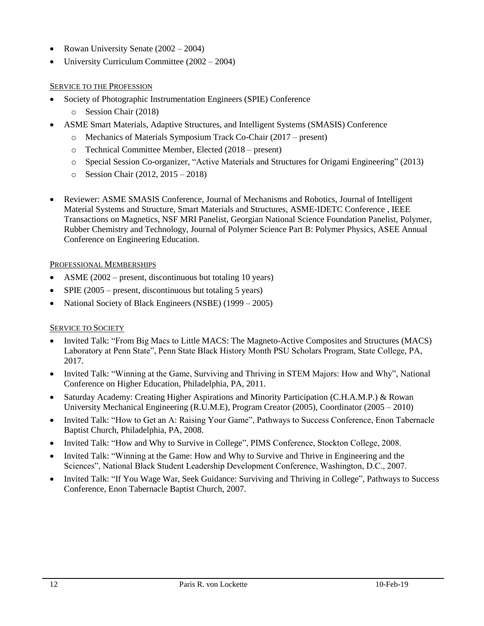- Rowan University Senate (2002 2004)
- University Curriculum Committee (2002 2004)

### SERVICE TO THE PROFESSION

- Society of Photographic Instrumentation Engineers (SPIE) Conference
	- o Session Chair (2018)
- ASME Smart Materials, Adaptive Structures, and Intelligent Systems (SMASIS) Conference
	- o Mechanics of Materials Symposium Track Co-Chair (2017 present)
	- o Technical Committee Member, Elected (2018 present)
	- o Special Session Co-organizer, "Active Materials and Structures for Origami Engineering" (2013)
	- o Session Chair (2012, 2015 2018)
- Reviewer: ASME SMASIS Conference, Journal of Mechanisms and Robotics, Journal of Intelligent Material Systems and Structure, Smart Materials and Structures, ASME-IDETC Conference , IEEE Transactions on Magnetics, NSF MRI Panelist, Georgian National Science Foundation Panelist, Polymer, Rubber Chemistry and Technology, Journal of Polymer Science Part B: Polymer Physics, ASEE Annual Conference on Engineering Education.

### PROFESSIONAL MEMBERSHIPS

- ASME (2002 present, discontinuous but totaling 10 years)
- SPIE  $(2005 present, discontinuous but totaling 5 years)$
- National Society of Black Engineers (NSBE) (1999 2005)

### SERVICE TO SOCIETY

- Invited Talk: "From Big Macs to Little MACS: The Magneto-Active Composites and Structures (MACS) Laboratory at Penn State", Penn State Black History Month PSU Scholars Program, State College, PA, 2017.
- Invited Talk: "Winning at the Game, Surviving and Thriving in STEM Majors: How and Why", National Conference on Higher Education, Philadelphia, PA, 2011.
- Saturday Academy: Creating Higher Aspirations and Minority Participation (C.H.A.M.P.) & Rowan University Mechanical Engineering (R.U.M.E), Program Creator (2005), Coordinator (2005 – 2010)
- Invited Talk: "How to Get an A: Raising Your Game", Pathways to Success Conference, Enon Tabernacle Baptist Church, Philadelphia, PA, 2008.
- Invited Talk: "How and Why to Survive in College", PIMS Conference, Stockton College, 2008.
- Invited Talk: "Winning at the Game: How and Why to Survive and Thrive in Engineering and the Sciences", National Black Student Leadership Development Conference, Washington, D.C., 2007.
- Invited Talk: "If You Wage War, Seek Guidance: Surviving and Thriving in College", Pathways to Success Conference, Enon Tabernacle Baptist Church, 2007.